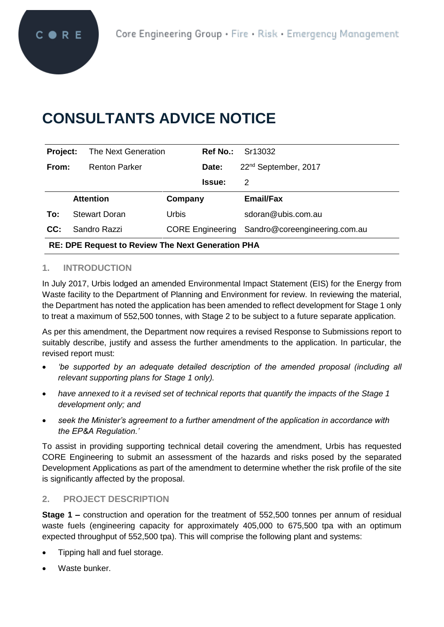# **CONSULTANTS ADVICE NOTICE**

| Project:                                                 | The Next Generation  |         | <b>Ref No.:</b> | Sr13032                                        |
|----------------------------------------------------------|----------------------|---------|-----------------|------------------------------------------------|
| From:                                                    | <b>Renton Parker</b> |         | Date:           | 22 <sup>nd</sup> September, 2017               |
|                                                          |                      |         | <b>Issue:</b>   | 2                                              |
|                                                          | <b>Attention</b>     | Company |                 | <b>Email/Fax</b>                               |
| To:                                                      | <b>Stewart Doran</b> | Urbis   |                 | sdoran@ubis.com.au                             |
| CC:                                                      | Sandro Razzi         |         |                 | CORE Engineering Sandro@coreengineering.com.au |
| <b>RE: DPE Request to Review The Next Generation PHA</b> |                      |         |                 |                                                |

## **1. INTRODUCTION**

In July 2017, Urbis lodged an amended Environmental Impact Statement (EIS) for the Energy from Waste facility to the Department of Planning and Environment for review. In reviewing the material, the Department has noted the application has been amended to reflect development for Stage 1 only to treat a maximum of 552,500 tonnes, with Stage 2 to be subject to a future separate application.

As per this amendment, the Department now requires a revised Response to Submissions report to suitably describe, justify and assess the further amendments to the application. In particular, the revised report must:

- *'be supported by an adequate detailed description of the amended proposal (including all relevant supporting plans for Stage 1 only).*
- *have annexed to it a revised set of technical reports that quantify the impacts of the Stage 1 development only; and*
- *seek the Minister's agreement to a further amendment of the application in accordance with the EP&A Regulation.'*

To assist in providing supporting technical detail covering the amendment, Urbis has requested CORE Engineering to submit an assessment of the hazards and risks posed by the separated Development Applications as part of the amendment to determine whether the risk profile of the site is significantly affected by the proposal.

#### **2. PROJECT DESCRIPTION**

**Stage 1 –** construction and operation for the treatment of 552,500 tonnes per annum of residual waste fuels (engineering capacity for approximately 405,000 to 675,500 tpa with an optimum expected throughput of 552,500 tpa). This will comprise the following plant and systems:

- Tipping hall and fuel storage.
- Waste bunker.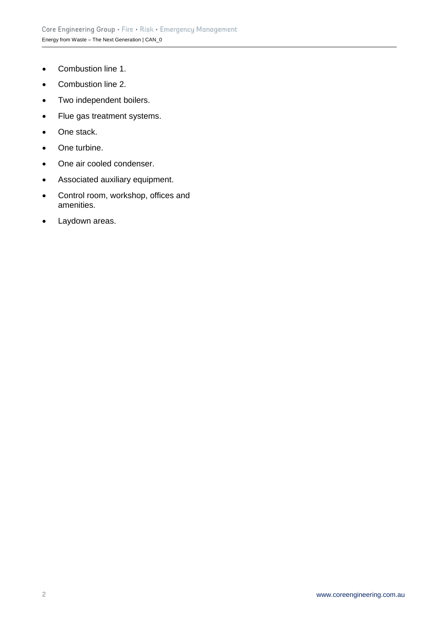- Combustion line 1.
- Combustion line 2.
- Two independent boilers.
- Flue gas treatment systems.
- One stack.
- One turbine.
- One air cooled condenser.
- Associated auxiliary equipment.
- Control room, workshop, offices and amenities.
- Laydown areas.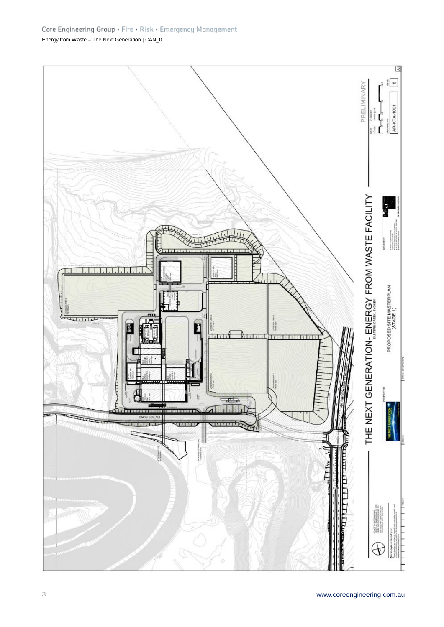